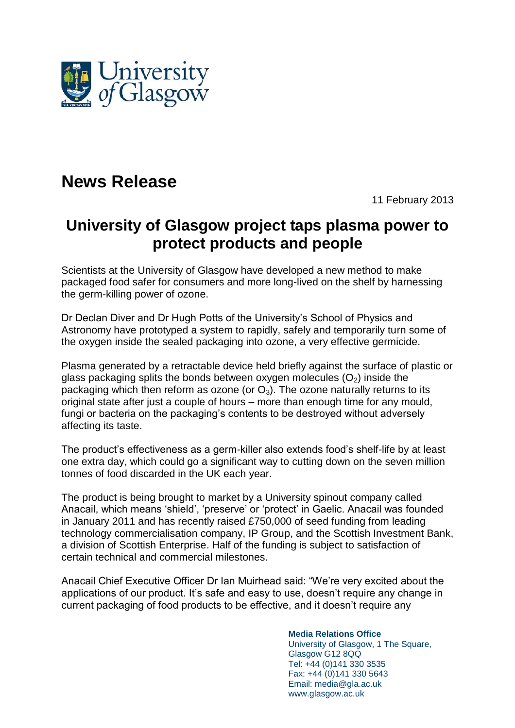

## **News Release**

11 February 2013

## **University of Glasgow project taps plasma power to protect products and people**

Scientists at the University of Glasgow have developed a new method to make packaged food safer for consumers and more long-lived on the shelf by harnessing the germ-killing power of ozone.

Dr Declan Diver and Dr Hugh Potts of the University's School of Physics and Astronomy have prototyped a system to rapidly, safely and temporarily turn some of the oxygen inside the sealed packaging into ozone, a very effective germicide.

Plasma generated by a retractable device held briefly against the surface of plastic or glass packaging splits the bonds between oxygen molecules  $(O_2)$  inside the packaging which then reform as ozone (or  $O_3$ ). The ozone naturally returns to its original state after just a couple of hours – more than enough time for any mould, fungi or bacteria on the packaging's contents to be destroyed without adversely affecting its taste.

The product's effectiveness as a germ-killer also extends food's shelf-life by at least one extra day, which could go a significant way to cutting down on the seven million tonnes of food discarded in the UK each year.

The product is being brought to market by a University spinout company called Anacail, which means 'shield', 'preserve' or 'protect' in Gaelic. Anacail was founded in January 2011 and has recently raised £750,000 of seed funding from leading technology commercialisation company, IP Group, and the Scottish Investment Bank, a division of Scottish Enterprise. Half of the funding is subject to satisfaction of certain technical and commercial milestones.

Anacail Chief Executive Officer Dr Ian Muirhead said: "We're very excited about the applications of our product. It's safe and easy to use, doesn't require any change in current packaging of food products to be effective, and it doesn't require any

**Media Relations Office**

University of Glasgow, 1 The Square, Glasgow G12 8QQ Tel: +44 (0)141 330 3535 Fax: +44 (0)141 330 5643 Email: media@gla.ac.uk www.glasgow.ac.uk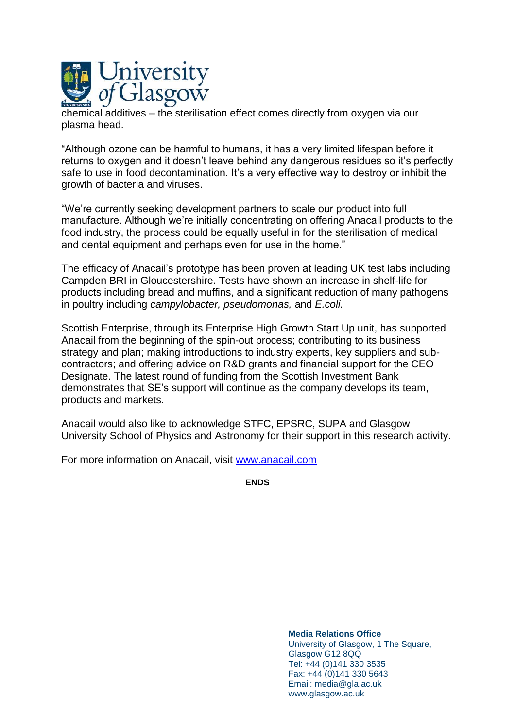

chemical additives – the sterilisation effect comes directly from oxygen via our plasma head.

"Although ozone can be harmful to humans, it has a very limited lifespan before it returns to oxygen and it doesn't leave behind any dangerous residues so it's perfectly safe to use in food decontamination. It's a very effective way to destroy or inhibit the growth of bacteria and viruses.

"We're currently seeking development partners to scale our product into full manufacture. Although we're initially concentrating on offering Anacail products to the food industry, the process could be equally useful in for the sterilisation of medical and dental equipment and perhaps even for use in the home."

The efficacy of Anacail's prototype has been proven at leading UK test labs including Campden BRI in Gloucestershire. Tests have shown an increase in shelf-life for products including bread and muffins, and a significant reduction of many pathogens in poultry including *campylobacter, pseudomonas,* and *E.coli.*

Scottish Enterprise, through its Enterprise High Growth Start Up unit, has supported Anacail from the beginning of the spin-out process; contributing to its business strategy and plan; making introductions to industry experts, key suppliers and subcontractors; and offering advice on R&D grants and financial support for the CEO Designate. The latest round of funding from the Scottish Investment Bank demonstrates that SE's support will continue as the company develops its team, products and markets.

Anacail would also like to acknowledge STFC, EPSRC, SUPA and Glasgow University School of Physics and Astronomy for their support in this research activity.

For more information on Anacail, visit [www.anacail.com](http://www.anacail.com/)

**ENDS**

**Media Relations Office** University of Glasgow, 1 The Square, Glasgow G12 8QQ Tel: +44 (0)141 330 3535 Fax: +44 (0)141 330 5643 Email: media@gla.ac.uk www.glasgow.ac.uk